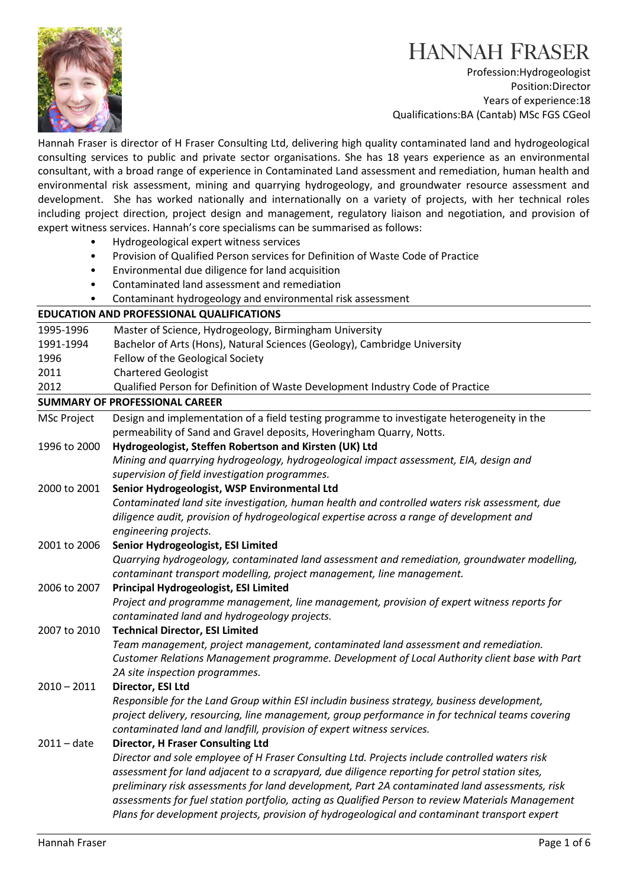

Profession:Hydrogeologist Position:Director Years of experience:18 Qualifications:BA (Cantab) MSc FGS CGeol

Hannah Fraser is director of H Fraser Consulting Ltd, delivering high quality contaminated land and hydrogeological consulting services to public and private sector organisations. She has 18 years experience as an environmental consultant, with a broad range of experience in Contaminated Land assessment and remediation, human health and environmental risk assessment, mining and quarrying hydrogeology, and groundwater resource assessment and development. She has worked nationally and internationally on a variety of projects, with her technical roles including project direction, project design and management, regulatory liaison and negotiation, and provision of expert witness services. Hannah's core specialisms can be summarised as follows:

- Hydrogeological expert witness services
- Provision of Qualified Person services for Definition of Waste Code of Practice
- Environmental due diligence for land acquisition
- Contaminated land assessment and remediation
- Contaminant hydrogeology and environmental risk assessment

| <b>EDUCATION AND PROFESSIONAL QUALIFICATIONS</b> |                                                                                                                                                                                                  |
|--------------------------------------------------|--------------------------------------------------------------------------------------------------------------------------------------------------------------------------------------------------|
| 1995-1996                                        | Master of Science, Hydrogeology, Birmingham University                                                                                                                                           |
| 1991-1994                                        | Bachelor of Arts (Hons), Natural Sciences (Geology), Cambridge University                                                                                                                        |
| 1996                                             | Fellow of the Geological Society                                                                                                                                                                 |
| 2011                                             | <b>Chartered Geologist</b>                                                                                                                                                                       |
| 2012                                             | Qualified Person for Definition of Waste Development Industry Code of Practice                                                                                                                   |
| <b>SUMMARY OF PROFESSIONAL CAREER</b>            |                                                                                                                                                                                                  |
| <b>MSc Project</b>                               | Design and implementation of a field testing programme to investigate heterogeneity in the                                                                                                       |
|                                                  | permeability of Sand and Gravel deposits, Hoveringham Quarry, Notts.                                                                                                                             |
| 1996 to 2000                                     | Hydrogeologist, Steffen Robertson and Kirsten (UK) Ltd                                                                                                                                           |
|                                                  | Mining and quarrying hydrogeology, hydrogeological impact assessment, EIA, design and                                                                                                            |
|                                                  | supervision of field investigation programmes.                                                                                                                                                   |
| 2000 to 2001                                     | Senior Hydrogeologist, WSP Environmental Ltd                                                                                                                                                     |
|                                                  | Contaminated land site investigation, human health and controlled waters risk assessment, due                                                                                                    |
|                                                  | diligence audit, provision of hydrogeological expertise across a range of development and                                                                                                        |
|                                                  | engineering projects.                                                                                                                                                                            |
| 2001 to 2006                                     | Senior Hydrogeologist, ESI Limited                                                                                                                                                               |
|                                                  | Quarrying hydrogeology, contaminated land assessment and remediation, groundwater modelling,                                                                                                     |
|                                                  | contaminant transport modelling, project management, line management.                                                                                                                            |
| 2006 to 2007                                     | <b>Principal Hydrogeologist, ESI Limited</b>                                                                                                                                                     |
|                                                  | Project and programme management, line management, provision of expert witness reports for                                                                                                       |
|                                                  | contaminated land and hydrogeology projects.                                                                                                                                                     |
| 2007 to 2010                                     | <b>Technical Director, ESI Limited</b>                                                                                                                                                           |
|                                                  | Team management, project management, contaminated land assessment and remediation.                                                                                                               |
|                                                  | Customer Relations Management programme. Development of Local Authority client base with Part                                                                                                    |
|                                                  | 2A site inspection programmes.                                                                                                                                                                   |
| $2010 - 2011$                                    | Director, ESI Ltd                                                                                                                                                                                |
|                                                  | Responsible for the Land Group within ESI includin business strategy, business development,                                                                                                      |
|                                                  | project delivery, resourcing, line management, group performance in for technical teams covering                                                                                                 |
|                                                  | contaminated land and landfill, provision of expert witness services.                                                                                                                            |
| $2011 - date$                                    | <b>Director, H Fraser Consulting Ltd</b>                                                                                                                                                         |
|                                                  | Director and sole employee of H Fraser Consulting Ltd. Projects include controlled waters risk                                                                                                   |
|                                                  | assessment for land adjacent to a scrapyard, due diligence reporting for petrol station sites,<br>preliminary risk assessments for land development, Part 2A contaminated land assessments, risk |
|                                                  |                                                                                                                                                                                                  |
|                                                  | assessments for fuel station portfolio, acting as Qualified Person to review Materials Management                                                                                                |
|                                                  | Plans for development projects, provision of hydrogeological and contaminant transport expert                                                                                                    |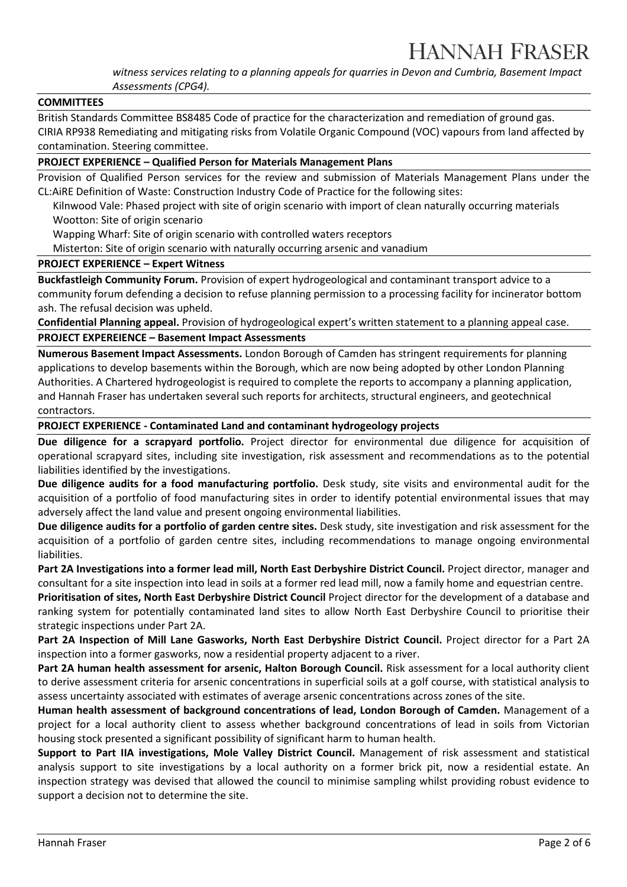witness services relating to a planning appeals for quarries in Devon and Cumbria, Basement Impact Assessments (CPG4).

#### **COMMITTEES**

British Standards Committee BS8485 Code of practice for the characterization and remediation of ground gas. CIRIA RP938 Remediating and mitigating risks from Volatile Organic Compound (VOC) vapours from land affected by contamination. Steering committee.

### PROJECT EXPERIENCE – Qualified Person for Materials Management Plans

Provision of Qualified Person services for the review and submission of Materials Management Plans under the CL:AiRE Definition of Waste: Construction Industry Code of Practice for the following sites:

Kilnwood Vale: Phased project with site of origin scenario with import of clean naturally occurring materials Wootton: Site of origin scenario

Wapping Wharf: Site of origin scenario with controlled waters receptors

Misterton: Site of origin scenario with naturally occurring arsenic and vanadium

#### PROJECT EXPERIENCE – Expert Witness

Buckfastleigh Community Forum. Provision of expert hydrogeological and contaminant transport advice to a community forum defending a decision to refuse planning permission to a processing facility for incinerator bottom ash. The refusal decision was upheld.

Confidential Planning appeal. Provision of hydrogeological expert's written statement to a planning appeal case.

PROJECT EXPEREIENCE – Basement Impact Assessments

Numerous Basement Impact Assessments. London Borough of Camden has stringent requirements for planning applications to develop basements within the Borough, which are now being adopted by other London Planning Authorities. A Chartered hydrogeologist is required to complete the reports to accompany a planning application, and Hannah Fraser has undertaken several such reports for architects, structural engineers, and geotechnical contractors.

#### PROJECT EXPERIENCE - Contaminated Land and contaminant hydrogeology projects

Due diligence for a scrapyard portfolio. Project director for environmental due diligence for acquisition of operational scrapyard sites, including site investigation, risk assessment and recommendations as to the potential liabilities identified by the investigations.

Due diligence audits for a food manufacturing portfolio. Desk study, site visits and environmental audit for the acquisition of a portfolio of food manufacturing sites in order to identify potential environmental issues that may adversely affect the land value and present ongoing environmental liabilities.

Due diligence audits for a portfolio of garden centre sites. Desk study, site investigation and risk assessment for the acquisition of a portfolio of garden centre sites, including recommendations to manage ongoing environmental liabilities.

Part 2A Investigations into a former lead mill, North East Derbyshire District Council. Project director, manager and consultant for a site inspection into lead in soils at a former red lead mill, now a family home and equestrian centre.

Prioritisation of sites, North East Derbyshire District Council Project director for the development of a database and ranking system for potentially contaminated land sites to allow North East Derbyshire Council to prioritise their strategic inspections under Part 2A.

Part 2A Inspection of Mill Lane Gasworks, North East Derbyshire District Council. Project director for a Part 2A inspection into a former gasworks, now a residential property adjacent to a river.

Part 2A human health assessment for arsenic, Halton Borough Council. Risk assessment for a local authority client to derive assessment criteria for arsenic concentrations in superficial soils at a golf course, with statistical analysis to assess uncertainty associated with estimates of average arsenic concentrations across zones of the site.

Human health assessment of background concentrations of lead, London Borough of Camden. Management of a project for a local authority client to assess whether background concentrations of lead in soils from Victorian housing stock presented a significant possibility of significant harm to human health.

Support to Part IIA investigations, Mole Valley District Council. Management of risk assessment and statistical analysis support to site investigations by a local authority on a former brick pit, now a residential estate. An inspection strategy was devised that allowed the council to minimise sampling whilst providing robust evidence to support a decision not to determine the site.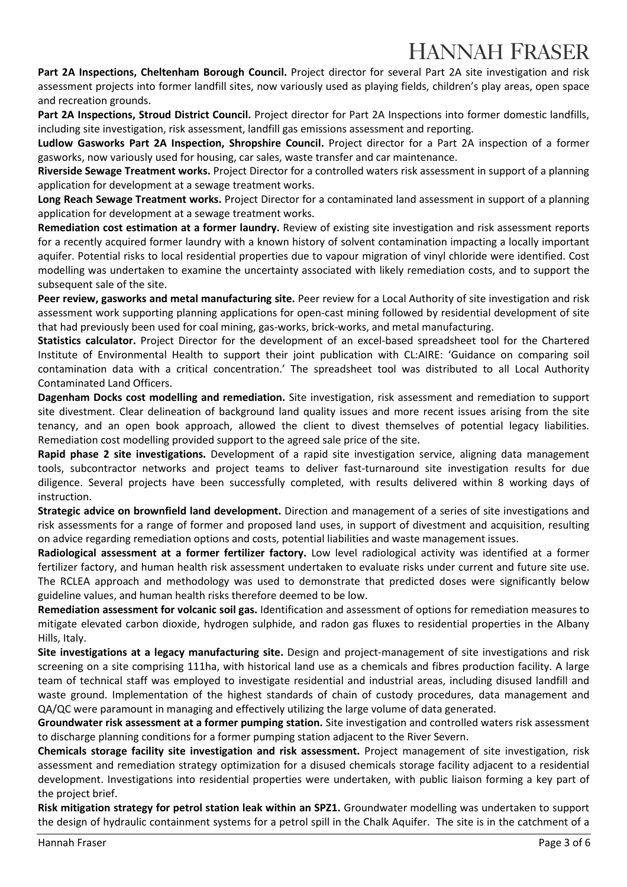Part 2A Inspections, Cheltenham Borough Council. Project director for several Part 2A site investigation and risk assessment projects into former landfill sites, now variously used as playing fields, children's play areas, open space and recreation grounds.

Part 2A Inspections, Stroud District Council. Project director for Part 2A Inspections into former domestic landfills, including site investigation, risk assessment, landfill gas emissions assessment and reporting.

Ludlow Gasworks Part 2A Inspection, Shropshire Council. Project director for a Part 2A inspection of a former gasworks, now variously used for housing, car sales, waste transfer and car maintenance.

Riverside Sewage Treatment works. Project Director for a controlled waters risk assessment in support of a planning application for development at a sewage treatment works.

Long Reach Sewage Treatment works. Project Director for a contaminated land assessment in support of a planning application for development at a sewage treatment works.

Remediation cost estimation at a former laundry. Review of existing site investigation and risk assessment reports for a recently acquired former laundry with a known history of solvent contamination impacting a locally important aquifer. Potential risks to local residential properties due to vapour migration of vinyl chloride were identified. Cost modelling was undertaken to examine the uncertainty associated with likely remediation costs, and to support the subsequent sale of the site.

Peer review, gasworks and metal manufacturing site. Peer review for a Local Authority of site investigation and risk assessment work supporting planning applications for open-cast mining followed by residential development of site that had previously been used for coal mining, gas-works, brick-works, and metal manufacturing.

Statistics calculator. Project Director for the development of an excel-based spreadsheet tool for the Chartered Institute of Environmental Health to support their joint publication with CL:AIRE: 'Guidance on comparing soil contamination data with a critical concentration.' The spreadsheet tool was distributed to all Local Authority Contaminated Land Officers.

Dagenham Docks cost modelling and remediation. Site investigation, risk assessment and remediation to support site divestment. Clear delineation of background land quality issues and more recent issues arising from the site tenancy, and an open book approach, allowed the client to divest themselves of potential legacy liabilities. Remediation cost modelling provided support to the agreed sale price of the site.

Rapid phase 2 site investigations. Development of a rapid site investigation service, aligning data management tools, subcontractor networks and project teams to deliver fast-turnaround site investigation results for due diligence. Several projects have been successfully completed, with results delivered within 8 working days of instruction.

Strategic advice on brownfield land development. Direction and management of a series of site investigations and risk assessments for a range of former and proposed land uses, in support of divestment and acquisition, resulting on advice regarding remediation options and costs, potential liabilities and waste management issues.

Radiological assessment at a former fertilizer factory. Low level radiological activity was identified at a former fertilizer factory, and human health risk assessment undertaken to evaluate risks under current and future site use. The RCLEA approach and methodology was used to demonstrate that predicted doses were significantly below guideline values, and human health risks therefore deemed to be low.

Remediation assessment for volcanic soil gas. Identification and assessment of options for remediation measures to mitigate elevated carbon dioxide, hydrogen sulphide, and radon gas fluxes to residential properties in the Albany Hills, Italy.

Site investigations at a legacy manufacturing site. Design and project-management of site investigations and risk screening on a site comprising 111ha, with historical land use as a chemicals and fibres production facility. A large team of technical staff was employed to investigate residential and industrial areas, including disused landfill and waste ground. Implementation of the highest standards of chain of custody procedures, data management and QA/QC were paramount in managing and effectively utilizing the large volume of data generated.

Groundwater risk assessment at a former pumping station. Site investigation and controlled waters risk assessment to discharge planning conditions for a former pumping station adjacent to the River Severn.

Chemicals storage facility site investigation and risk assessment. Project management of site investigation, risk assessment and remediation strategy optimization for a disused chemicals storage facility adjacent to a residential development. Investigations into residential properties were undertaken, with public liaison forming a key part of the project brief.

Risk mitigation strategy for petrol station leak within an SPZ1. Groundwater modelling was undertaken to support the design of hydraulic containment systems for a petrol spill in the Chalk Aquifer. The site is in the catchment of a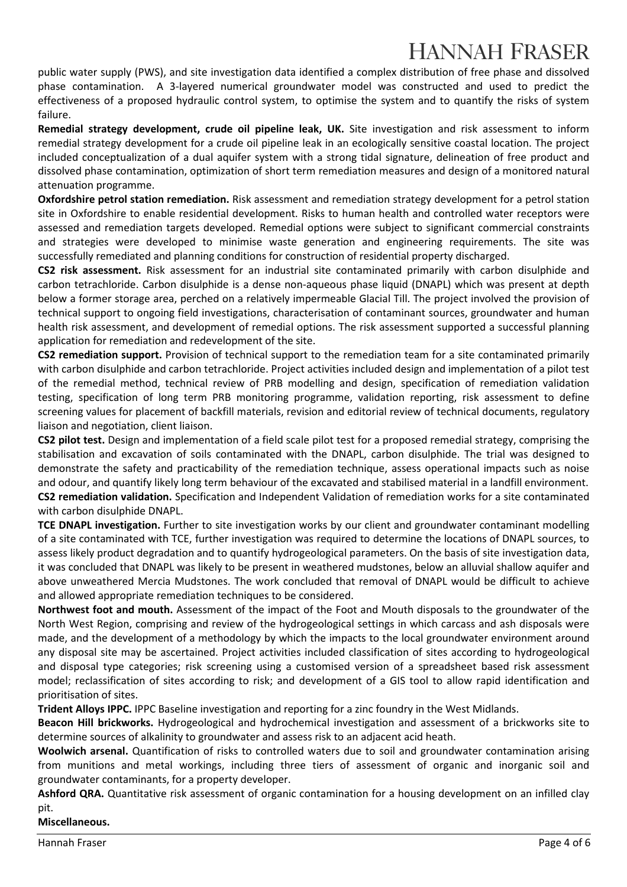public water supply (PWS), and site investigation data identified a complex distribution of free phase and dissolved phase contamination. A 3-layered numerical groundwater model was constructed and used to predict the effectiveness of a proposed hydraulic control system, to optimise the system and to quantify the risks of system failure.

Remedial strategy development, crude oil pipeline leak, UK. Site investigation and risk assessment to inform remedial strategy development for a crude oil pipeline leak in an ecologically sensitive coastal location. The project included conceptualization of a dual aquifer system with a strong tidal signature, delineation of free product and dissolved phase contamination, optimization of short term remediation measures and design of a monitored natural attenuation programme.

Oxfordshire petrol station remediation. Risk assessment and remediation strategy development for a petrol station site in Oxfordshire to enable residential development. Risks to human health and controlled water receptors were assessed and remediation targets developed. Remedial options were subject to significant commercial constraints and strategies were developed to minimise waste generation and engineering requirements. The site was successfully remediated and planning conditions for construction of residential property discharged.

CS2 risk assessment. Risk assessment for an industrial site contaminated primarily with carbon disulphide and carbon tetrachloride. Carbon disulphide is a dense non-aqueous phase liquid (DNAPL) which was present at depth below a former storage area, perched on a relatively impermeable Glacial Till. The project involved the provision of technical support to ongoing field investigations, characterisation of contaminant sources, groundwater and human health risk assessment, and development of remedial options. The risk assessment supported a successful planning application for remediation and redevelopment of the site.

CS2 remediation support. Provision of technical support to the remediation team for a site contaminated primarily with carbon disulphide and carbon tetrachloride. Project activities included design and implementation of a pilot test of the remedial method, technical review of PRB modelling and design, specification of remediation validation testing, specification of long term PRB monitoring programme, validation reporting, risk assessment to define screening values for placement of backfill materials, revision and editorial review of technical documents, regulatory liaison and negotiation, client liaison.

CS2 pilot test. Design and implementation of a field scale pilot test for a proposed remedial strategy, comprising the stabilisation and excavation of soils contaminated with the DNAPL, carbon disulphide. The trial was designed to demonstrate the safety and practicability of the remediation technique, assess operational impacts such as noise and odour, and quantify likely long term behaviour of the excavated and stabilised material in a landfill environment. CS2 remediation validation. Specification and Independent Validation of remediation works for a site contaminated with carbon disulphide DNAPL.

TCE DNAPL investigation. Further to site investigation works by our client and groundwater contaminant modelling of a site contaminated with TCE, further investigation was required to determine the locations of DNAPL sources, to assess likely product degradation and to quantify hydrogeological parameters. On the basis of site investigation data, it was concluded that DNAPL was likely to be present in weathered mudstones, below an alluvial shallow aquifer and above unweathered Mercia Mudstones. The work concluded that removal of DNAPL would be difficult to achieve and allowed appropriate remediation techniques to be considered.

Northwest foot and mouth. Assessment of the impact of the Foot and Mouth disposals to the groundwater of the North West Region, comprising and review of the hydrogeological settings in which carcass and ash disposals were made, and the development of a methodology by which the impacts to the local groundwater environment around any disposal site may be ascertained. Project activities included classification of sites according to hydrogeological and disposal type categories; risk screening using a customised version of a spreadsheet based risk assessment model; reclassification of sites according to risk; and development of a GIS tool to allow rapid identification and prioritisation of sites.

Trident Alloys IPPC. IPPC Baseline investigation and reporting for a zinc foundry in the West Midlands.

Beacon Hill brickworks. Hydrogeological and hydrochemical investigation and assessment of a brickworks site to determine sources of alkalinity to groundwater and assess risk to an adjacent acid heath.

Woolwich arsenal. Quantification of risks to controlled waters due to soil and groundwater contamination arising from munitions and metal workings, including three tiers of assessment of organic and inorganic soil and groundwater contaminants, for a property developer.

Ashford QRA. Quantitative risk assessment of organic contamination for a housing development on an infilled clay pit.

Miscellaneous.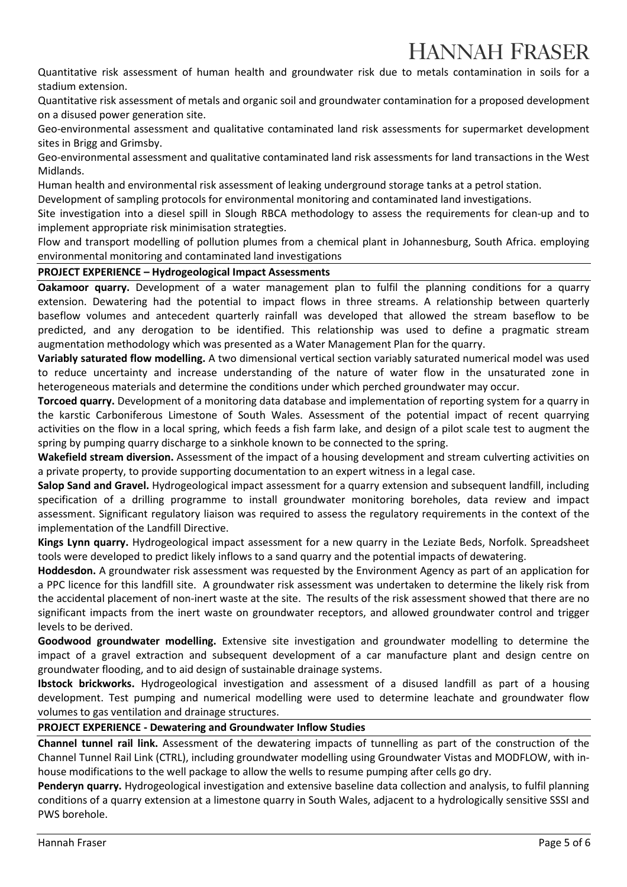Quantitative risk assessment of human health and groundwater risk due to metals contamination in soils for a stadium extension.

Quantitative risk assessment of metals and organic soil and groundwater contamination for a proposed development on a disused power generation site.

Geo-environmental assessment and qualitative contaminated land risk assessments for supermarket development sites in Brigg and Grimsby.

Geo-environmental assessment and qualitative contaminated land risk assessments for land transactions in the West Midlands.

Human health and environmental risk assessment of leaking underground storage tanks at a petrol station.

Development of sampling protocols for environmental monitoring and contaminated land investigations.

Site investigation into a diesel spill in Slough RBCA methodology to assess the requirements for clean-up and to implement appropriate risk minimisation strategties.

Flow and transport modelling of pollution plumes from a chemical plant in Johannesburg, South Africa. employing environmental monitoring and contaminated land investigations

### PROJECT EXPERIENCE – Hydrogeological Impact Assessments

Oakamoor quarry. Development of a water management plan to fulfil the planning conditions for a quarry extension. Dewatering had the potential to impact flows in three streams. A relationship between quarterly baseflow volumes and antecedent quarterly rainfall was developed that allowed the stream baseflow to be predicted, and any derogation to be identified. This relationship was used to define a pragmatic stream augmentation methodology which was presented as a Water Management Plan for the quarry.

Variably saturated flow modelling. A two dimensional vertical section variably saturated numerical model was used to reduce uncertainty and increase understanding of the nature of water flow in the unsaturated zone in heterogeneous materials and determine the conditions under which perched groundwater may occur.

Torcoed quarry. Development of a monitoring data database and implementation of reporting system for a quarry in the karstic Carboniferous Limestone of South Wales. Assessment of the potential impact of recent quarrying activities on the flow in a local spring, which feeds a fish farm lake, and design of a pilot scale test to augment the spring by pumping quarry discharge to a sinkhole known to be connected to the spring.

Wakefield stream diversion. Assessment of the impact of a housing development and stream culverting activities on a private property, to provide supporting documentation to an expert witness in a legal case.

Salop Sand and Gravel. Hydrogeological impact assessment for a quarry extension and subsequent landfill, including specification of a drilling programme to install groundwater monitoring boreholes, data review and impact assessment. Significant regulatory liaison was required to assess the regulatory requirements in the context of the implementation of the Landfill Directive.

Kings Lynn quarry. Hydrogeological impact assessment for a new quarry in the Leziate Beds, Norfolk. Spreadsheet tools were developed to predict likely inflows to a sand quarry and the potential impacts of dewatering.

Hoddesdon. A groundwater risk assessment was requested by the Environment Agency as part of an application for a PPC licence for this landfill site. A groundwater risk assessment was undertaken to determine the likely risk from the accidental placement of non-inert waste at the site. The results of the risk assessment showed that there are no significant impacts from the inert waste on groundwater receptors, and allowed groundwater control and trigger levels to be derived.

Goodwood groundwater modelling. Extensive site investigation and groundwater modelling to determine the impact of a gravel extraction and subsequent development of a car manufacture plant and design centre on groundwater flooding, and to aid design of sustainable drainage systems.

Ibstock brickworks. Hydrogeological investigation and assessment of a disused landfill as part of a housing development. Test pumping and numerical modelling were used to determine leachate and groundwater flow volumes to gas ventilation and drainage structures.

### PROJECT EXPERIENCE - Dewatering and Groundwater Inflow Studies

Channel tunnel rail link. Assessment of the dewatering impacts of tunnelling as part of the construction of the Channel Tunnel Rail Link (CTRL), including groundwater modelling using Groundwater Vistas and MODFLOW, with inhouse modifications to the well package to allow the wells to resume pumping after cells go dry.

Penderyn quarry. Hydrogeological investigation and extensive baseline data collection and analysis, to fulfil planning conditions of a quarry extension at a limestone quarry in South Wales, adjacent to a hydrologically sensitive SSSI and PWS borehole.